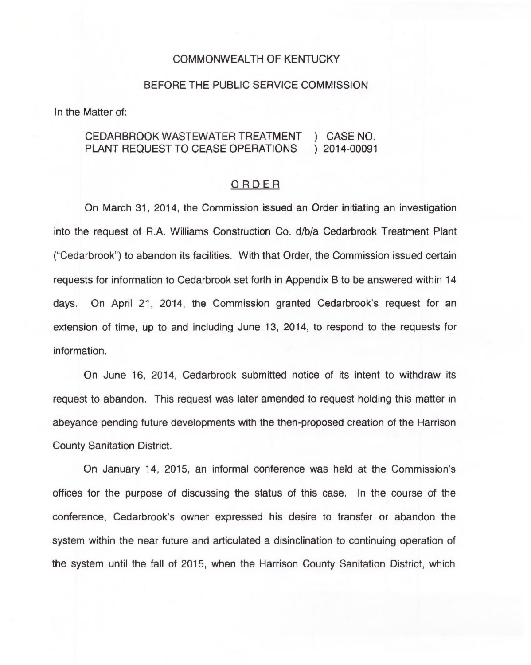#### COMMONWEALTH OF KENTUCKY

#### BEFORE THE PUBLIC SERVICE COMMISSION

In the Matter of:

### CEDARBROOK WASTEWATER TREATMENT ) CASE NO. PLANT REQUEST TO CEASE OPERATIONS

### ORDER

On March 31, 2014, the Commission issued an Order initiating an investigation into the request of R.A. Williams Construction Co. d/b/a Cedarbrook Treatment Plant ("Cedarbrook") to abandon its facilities. With that Order, the Commission issued certain requests for information to Cedarbrook set forth in Appendix 8 to be answered within 14 days. On April 21, 2014, the Commission granted Cedarbrook's request for an extension of time, up to and including June 13, 2014, to respond to the requests for information.

On June 16, 2014, Cedarbrook submitted notice of its intent to withdraw its request to abandon. This request was later amended to request holding this matter in abeyance pending future developments with the then-proposed creation of the Harrison County Sanitation District.

On January 14, 2015, an informal conference was held at the Commission's offices for the purpose of discussing the status of this case. In the course of the conference, Cedarbrook's owner expressed his desire to transfer or abandon the system within the near future and articulated a disinclination to continuing operation of the system until the fall of 2015, when the Harrison County Sanitation District, which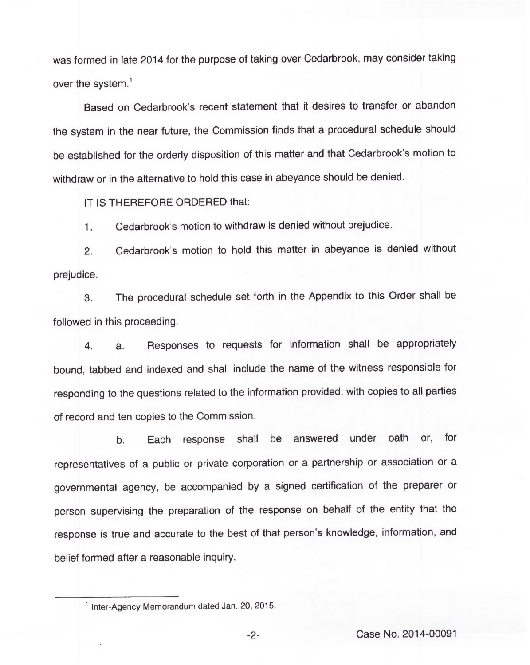was formed in late 2014 for the purpose of taking over Cedarbrook, may consider taking over the system.<sup>1</sup>

Based on Cedarbrook's recent statement that it desires to transfer or abandon the system in the near future, the Commission finds that a procedural schedule should be established for the orderly disposition of this matter and that Cedarbrook's motion to withdraw or in the alternative to hold this case in abeyance should be denied.

IT IS THEREFORE ORDERED that:

1. Cedarbrook's motion to withdraw is denied without prejudice.

2. Cedarbrook's motion to hold this matter in abeyance is denied without prejudice.

3. The procedural schedule set forth in the Appendix to this Order shall be followed in this proceeding.

4. a. Responses to requests for information shall be appropriately bound, tabbed and indexed and shall include the name of the witness responsible for responding to the questions related to the information provided, with copies to all parties of record and ten copies to the Commission.

b. Each response shall be answered under oath or, for representatives of a public or private corporation or a partnership or association or a governmental agency, be accompanied by a signed certification of the preparer or person supervising the preparation of the response on behalf of the entity that the response is true and accurate to the best of that person's knowledge, information, and belief formed after a reasonable inquiry.

 $-2-$ 

<sup>&</sup>lt;sup>1</sup> Inter-Agency Memorandum dated Jan. 20, 2015.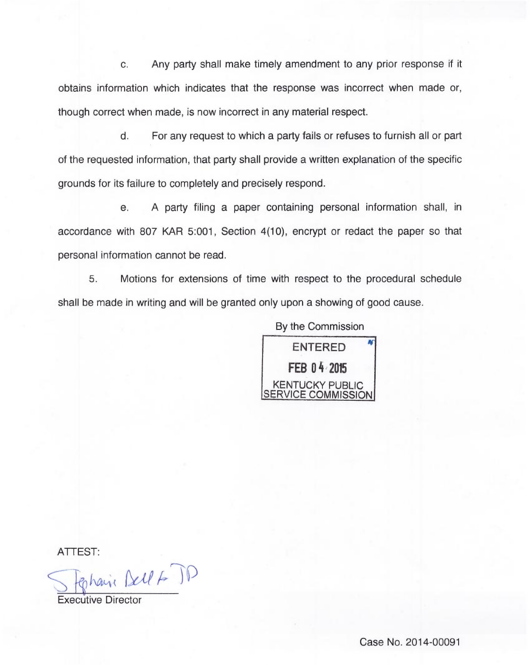c. Any party shall make timely amendment to any prior response if it obtains information which indicates that the response was incorrect when made or, though correct when made, is now incorrect in any material respect.

d. For any request to which a party fails or refuses to furnish all or part of the requested information, that party shall provide a written explanation of the specific grounds for its failure to completely and precisely respond.

e. A party filing a paper containing personal information shall, in accordance with 807 KAR 5:001, Section 4(10), encrypt or redact the paper so that personal information cannot be read.

5. Motions for extensions of time with respect to the procedural schedule shall be made in writing and will be granted only upon a showing of good cause.

> By the Commission ENTERED FEB 04 2015 KENTUCKY PUBLIC SERVICE COMMISSIOI

ATTEST

Ephain Bell & JD

Executive Director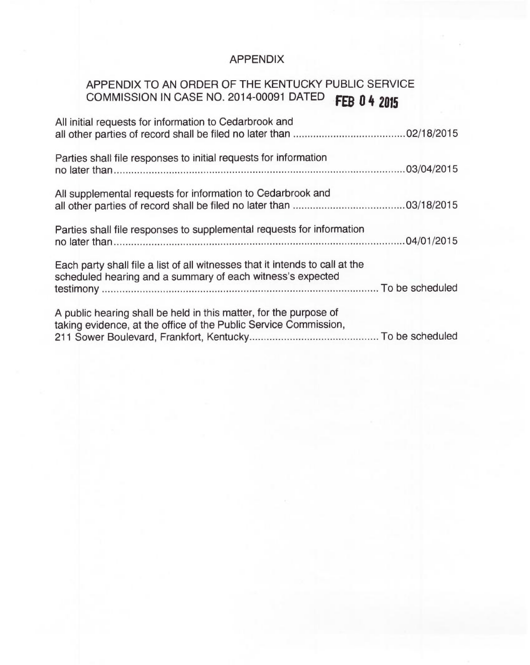## APPENDIX

# APPENDIX TO AN ORDER OF THE KENTUCKY PUBLIC SERVICE COMMISSION IN CASE NO. 2014-00091 DATED FEB 0 4 2015

| All initial requests for information to Cedarbrook and                                                                                     |  |
|--------------------------------------------------------------------------------------------------------------------------------------------|--|
| Parties shall file responses to initial requests for information                                                                           |  |
| All supplemental requests for information to Cedarbrook and                                                                                |  |
| Parties shall file responses to supplemental requests for information                                                                      |  |
| Each party shall file a list of all witnesses that it intends to call at the<br>scheduled hearing and a summary of each witness's expected |  |
| A public hearing shall be held in this matter, for the purpose of<br>taking evidence, at the office of the Public Service Commission,      |  |